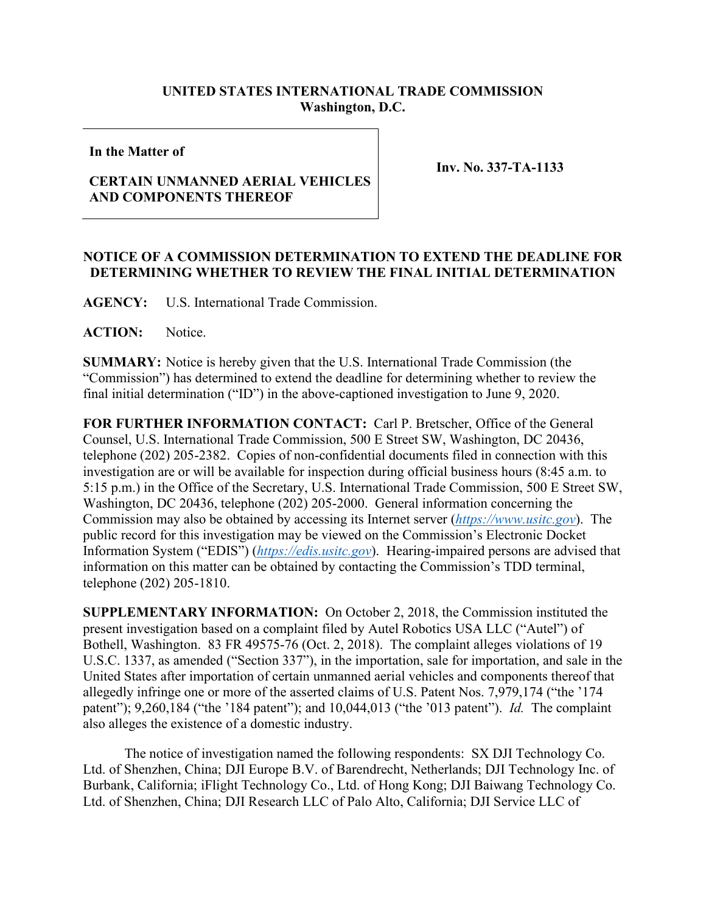## **UNITED STATES INTERNATIONAL TRADE COMMISSION Washington, D.C.**

## **In the Matter of**

## **CERTAIN UNMANNED AERIAL VEHICLES AND COMPONENTS THEREOF**

**Inv. No. 337-TA-1133**

## **NOTICE OF A COMMISSION DETERMINATION TO EXTEND THE DEADLINE FOR DETERMINING WHETHER TO REVIEW THE FINAL INITIAL DETERMINATION**

**AGENCY:** U.S. International Trade Commission.

**ACTION:** Notice.

**SUMMARY:** Notice is hereby given that the U.S. International Trade Commission (the "Commission") has determined to extend the deadline for determining whether to review the final initial determination ("ID") in the above-captioned investigation to June 9, 2020.

**FOR FURTHER INFORMATION CONTACT:** Carl P. Bretscher, Office of the General Counsel, U.S. International Trade Commission, 500 E Street SW, Washington, DC 20436, telephone (202) 205-2382. Copies of non-confidential documents filed in connection with this investigation are or will be available for inspection during official business hours (8:45 a.m. to 5:15 p.m.) in the Office of the Secretary, U.S. International Trade Commission, 500 E Street SW, Washington, DC 20436, telephone (202) 205-2000. General information concerning the Commission may also be obtained by accessing its Internet server (*[https://www.usitc.gov](https://www.usitc.gov/)*). The public record for this investigation may be viewed on the Commission's Electronic Docket Information System ("EDIS") (*[https://edis.usitc.gov](https://edis.usitc.gov/)*). Hearing-impaired persons are advised that information on this matter can be obtained by contacting the Commission's TDD terminal, telephone (202) 205-1810.

**SUPPLEMENTARY INFORMATION:** On October 2, 2018, the Commission instituted the present investigation based on a complaint filed by Autel Robotics USA LLC ("Autel") of Bothell, Washington. 83 FR 49575-76 (Oct. 2, 2018). The complaint alleges violations of 19 U.S.C. 1337, as amended ("Section 337"), in the importation, sale for importation, and sale in the United States after importation of certain unmanned aerial vehicles and components thereof that allegedly infringe one or more of the asserted claims of U.S. Patent Nos. 7,979,174 ("the '174 patent"); 9,260,184 ("the '184 patent"); and 10,044,013 ("the '013 patent"). *Id.* The complaint also alleges the existence of a domestic industry.

The notice of investigation named the following respondents: SX DJI Technology Co. Ltd. of Shenzhen, China; DJI Europe B.V. of Barendrecht, Netherlands; DJI Technology Inc. of Burbank, California; iFlight Technology Co., Ltd. of Hong Kong; DJI Baiwang Technology Co. Ltd. of Shenzhen, China; DJI Research LLC of Palo Alto, California; DJI Service LLC of